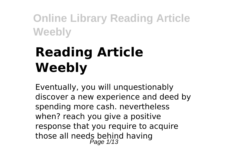# **Reading Article Weebly**

Eventually, you will unquestionably discover a new experience and deed by spending more cash. nevertheless when? reach you give a positive response that you require to acquire those all needs behind having<br>Page 1/13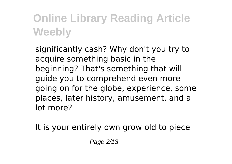significantly cash? Why don't you try to acquire something basic in the beginning? That's something that will guide you to comprehend even more going on for the globe, experience, some places, later history, amusement, and a lot more?

It is your entirely own grow old to piece

Page 2/13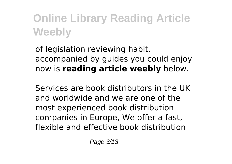of legislation reviewing habit. accompanied by guides you could enjoy now is **reading article weebly** below.

Services are book distributors in the UK and worldwide and we are one of the most experienced book distribution companies in Europe, We offer a fast, flexible and effective book distribution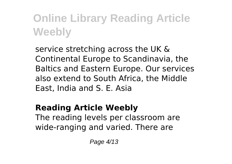service stretching across the UK & Continental Europe to Scandinavia, the Baltics and Eastern Europe. Our services also extend to South Africa, the Middle East, India and S. E. Asia

#### **Reading Article Weebly**

The reading levels per classroom are wide-ranging and varied. There are

Page 4/13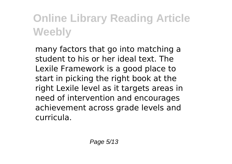many factors that go into matching a student to his or her ideal text. The Lexile Framework is a good place to start in picking the right book at the right Lexile level as it targets areas in need of intervention and encourages achievement across grade levels and curricula.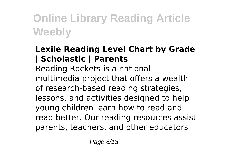#### **Lexile Reading Level Chart by Grade | Scholastic | Parents**

Reading Rockets is a national multimedia project that offers a wealth of research-based reading strategies, lessons, and activities designed to help young children learn how to read and read better. Our reading resources assist parents, teachers, and other educators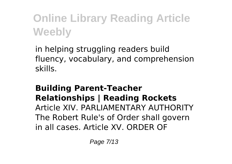in helping struggling readers build fluency, vocabulary, and comprehension skills.

#### **Building Parent-Teacher Relationships | Reading Rockets** Article XIV. PARLIAMENTARY AUTHORITY The Robert Rule's of Order shall govern in all cases. Article XV. ORDER OF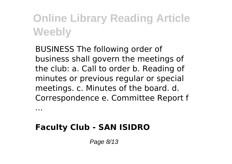BUSINESS The following order of business shall govern the meetings of the club: a. Call to order b. Reading of minutes or previous regular or special meetings. c. Minutes of the board. d. Correspondence e. Committee Report f

**Faculty Club - SAN ISIDRO**

...

Page 8/13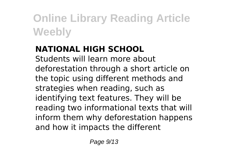#### **NATIONAL HIGH SCHOOL**

Students will learn more about deforestation through a short article on the topic using different methods and strategies when reading, such as identifying text features. They will be reading two informational texts that will inform them why deforestation happens and how it impacts the different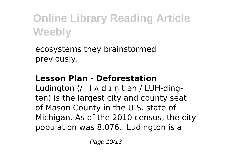ecosystems they brainstormed previously.

#### **Lesson Plan - Deforestation**

Ludington (/ ' |  $\wedge$  d I n t an / LUH-dingtən) is the largest city and county seat of Mason County in the U.S. state of Michigan. As of the 2010 census, the city population was 8,076.. Ludington is a

Page 10/13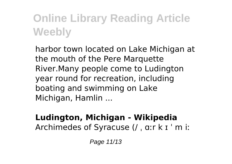harbor town located on Lake Michigan at the mouth of the Pere Marquette River.Many people come to Ludington year round for recreation, including boating and swimming on Lake Michigan, Hamlin ...

#### **Ludington, Michigan - Wikipedia** Archimedes of Syracuse (/ ˌ ɑːr k ɪ ˈ m iː

Page 11/13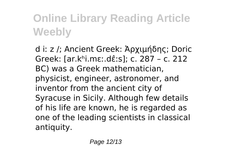d iː z /; Ancient Greek: Ἀρχιμήδης; Doric Greek: [ar.kʰi.mɛː.dɛ̂ːs]; c. 287 – c. 212 BC) was a Greek mathematician, physicist, engineer, astronomer, and inventor from the ancient city of Syracuse in Sicily. Although few details of his life are known, he is regarded as one of the leading scientists in classical antiquity.